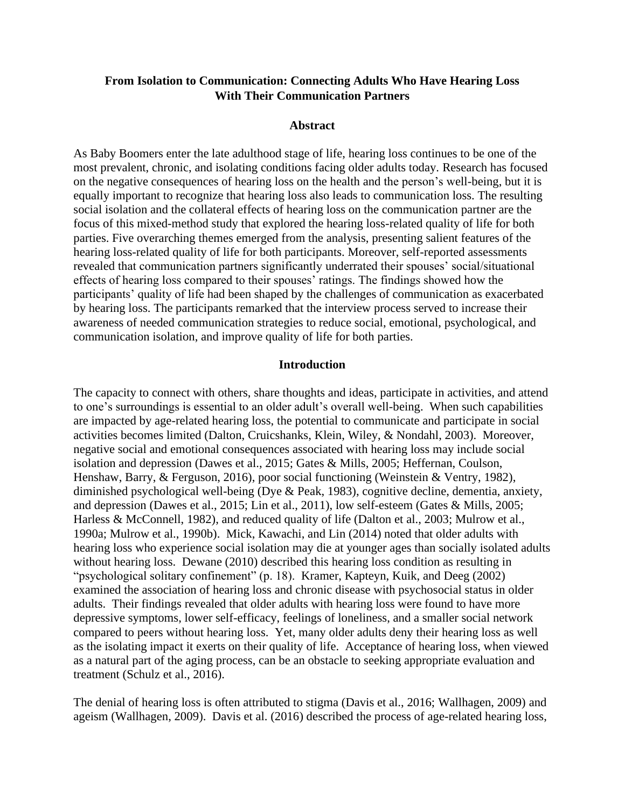# **From Isolation to Communication: Connecting Adults Who Have Hearing Loss With Their Communication Partners**

#### **Abstract**

As Baby Boomers enter the late adulthood stage of life, hearing loss continues to be one of the most prevalent, chronic, and isolating conditions facing older adults today. Research has focused on the negative consequences of hearing loss on the health and the person's well-being, but it is equally important to recognize that hearing loss also leads to communication loss. The resulting social isolation and the collateral effects of hearing loss on the communication partner are the focus of this mixed-method study that explored the hearing loss-related quality of life for both parties. Five overarching themes emerged from the analysis, presenting salient features of the hearing loss-related quality of life for both participants. Moreover, self-reported assessments revealed that communication partners significantly underrated their spouses' social/situational effects of hearing loss compared to their spouses' ratings. The findings showed how the participants' quality of life had been shaped by the challenges of communication as exacerbated by hearing loss. The participants remarked that the interview process served to increase their awareness of needed communication strategies to reduce social, emotional, psychological, and communication isolation, and improve quality of life for both parties.

## **Introduction**

The capacity to connect with others, share thoughts and ideas, participate in activities, and attend to one's surroundings is essential to an older adult's overall well-being. When such capabilities are impacted by age-related hearing loss, the potential to communicate and participate in social activities becomes limited (Dalton, Cruicshanks, Klein, Wiley, & Nondahl, 2003). Moreover, negative social and emotional consequences associated with hearing loss may include social isolation and depression (Dawes et al., 2015; Gates & Mills, 2005; Heffernan, Coulson, Henshaw, Barry, & Ferguson, 2016), poor social functioning (Weinstein & Ventry, 1982), diminished psychological well-being (Dye & Peak, 1983), cognitive decline, dementia, anxiety, and depression (Dawes et al., 2015; Lin et al., 2011), low self-esteem (Gates & Mills, 2005; Harless & McConnell, 1982), and reduced quality of life (Dalton et al., 2003; Mulrow et al., 1990a; Mulrow et al., 1990b). Mick, Kawachi, and Lin (2014) noted that older adults with hearing loss who experience social isolation may die at younger ages than socially isolated adults without hearing loss. Dewane (2010) described this hearing loss condition as resulting in "psychological solitary confinement" (p. 18). Kramer, Kapteyn, Kuik, and Deeg (2002) examined the association of hearing loss and chronic disease with psychosocial status in older adults. Their findings revealed that older adults with hearing loss were found to have more depressive symptoms, lower self-efficacy, feelings of loneliness, and a smaller social network compared to peers without hearing loss. Yet, many older adults deny their hearing loss as well as the isolating impact it exerts on their quality of life. Acceptance of hearing loss, when viewed as a natural part of the aging process, can be an obstacle to seeking appropriate evaluation and treatment (Schulz et al., 2016).

The denial of hearing loss is often attributed to stigma (Davis et al., 2016; Wallhagen, 2009) and ageism (Wallhagen, 2009). Davis et al. (2016) described the process of age-related hearing loss,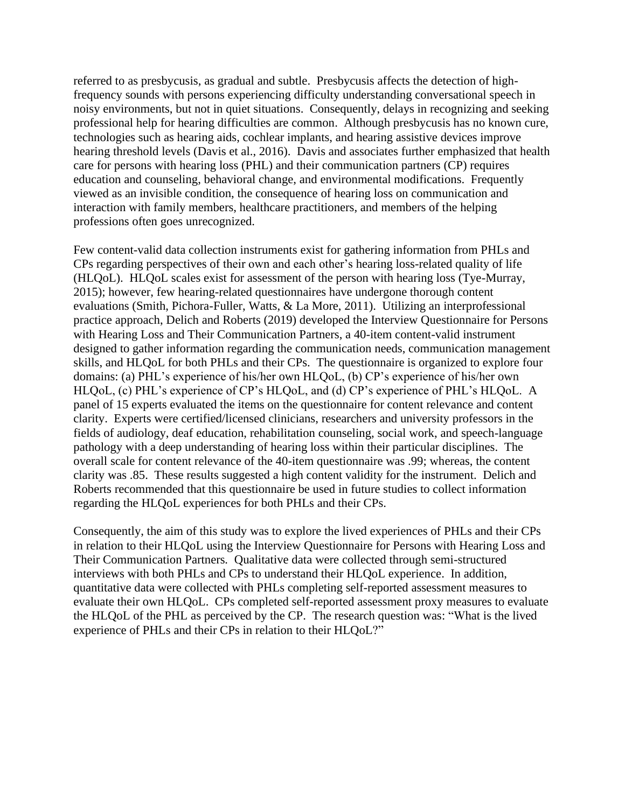referred to as presbycusis, as gradual and subtle. Presbycusis affects the detection of highfrequency sounds with persons experiencing difficulty understanding conversational speech in noisy environments, but not in quiet situations. Consequently, delays in recognizing and seeking professional help for hearing difficulties are common. Although presbycusis has no known cure, technologies such as hearing aids, cochlear implants, and hearing assistive devices improve hearing threshold levels (Davis et al., 2016). Davis and associates further emphasized that health care for persons with hearing loss (PHL) and their communication partners (CP) requires education and counseling, behavioral change, and environmental modifications. Frequently viewed as an invisible condition, the consequence of hearing loss on communication and interaction with family members, healthcare practitioners, and members of the helping professions often goes unrecognized.

Few content-valid data collection instruments exist for gathering information from PHLs and CPs regarding perspectives of their own and each other's hearing loss-related quality of life (HLQoL). HLQoL scales exist for assessment of the person with hearing loss (Tye-Murray, 2015); however, few hearing-related questionnaires have undergone thorough content evaluations (Smith, Pichora-Fuller, Watts, & La More, 2011). Utilizing an interprofessional practice approach, Delich and Roberts (2019) developed the Interview Questionnaire for Persons with Hearing Loss and Their Communication Partners, a 40-item content-valid instrument designed to gather information regarding the communication needs, communication management skills, and HLQoL for both PHLs and their CPs. The questionnaire is organized to explore four domains: (a) PHL's experience of his/her own HLQoL, (b) CP's experience of his/her own HLQoL, (c) PHL's experience of CP's HLQoL, and (d) CP's experience of PHL's HLQoL. A panel of 15 experts evaluated the items on the questionnaire for content relevance and content clarity. Experts were certified/licensed clinicians, researchers and university professors in the fields of audiology, deaf education, rehabilitation counseling, social work, and speech-language pathology with a deep understanding of hearing loss within their particular disciplines. The overall scale for content relevance of the 40-item questionnaire was .99; whereas, the content clarity was .85. These results suggested a high content validity for the instrument. Delich and Roberts recommended that this questionnaire be used in future studies to collect information regarding the HLQoL experiences for both PHLs and their CPs.

Consequently, the aim of this study was to explore the lived experiences of PHLs and their CPs in relation to their HLQoL using the Interview Questionnaire for Persons with Hearing Loss and Their Communication Partners*.* Qualitative data were collected through semi-structured interviews with both PHLs and CPs to understand their HLQoL experience. In addition, quantitative data were collected with PHLs completing self-reported assessment measures to evaluate their own HLQoL. CPs completed self-reported assessment proxy measures to evaluate the HLQoL of the PHL as perceived by the CP. The research question was: "What is the lived experience of PHLs and their CPs in relation to their HLQoL?"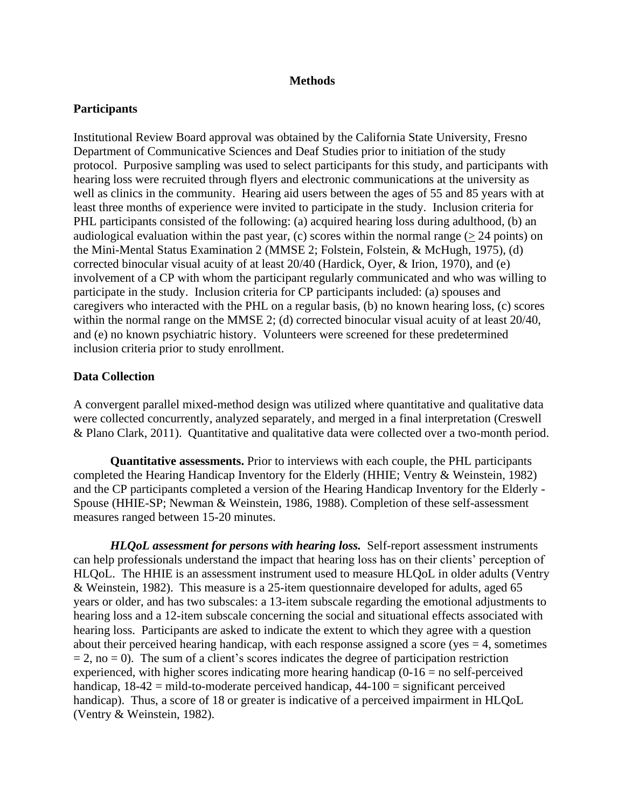#### **Methods**

## **Participants**

Institutional Review Board approval was obtained by the California State University, Fresno Department of Communicative Sciences and Deaf Studies prior to initiation of the study protocol. Purposive sampling was used to select participants for this study, and participants with hearing loss were recruited through flyers and electronic communications at the university as well as clinics in the community. Hearing aid users between the ages of 55 and 85 years with at least three months of experience were invited to participate in the study. Inclusion criteria for PHL participants consisted of the following: (a) acquired hearing loss during adulthood, (b) an audiological evaluation within the past year, (c) scores within the normal range ( $> 24$  points) on the Mini-Mental Status Examination 2 (MMSE 2; Folstein, Folstein, & McHugh, 1975), (d) corrected binocular visual acuity of at least 20/40 (Hardick, Oyer, & Irion, 1970), and (e) involvement of a CP with whom the participant regularly communicated and who was willing to participate in the study. Inclusion criteria for CP participants included: (a) spouses and caregivers who interacted with the PHL on a regular basis, (b) no known hearing loss, (c) scores within the normal range on the MMSE 2; (d) corrected binocular visual acuity of at least 20/40, and (e) no known psychiatric history. Volunteers were screened for these predetermined inclusion criteria prior to study enrollment.

#### **Data Collection**

A convergent parallel mixed-method design was utilized where quantitative and qualitative data were collected concurrently, analyzed separately, and merged in a final interpretation (Creswell & Plano Clark, [2011\)](https://onlinelibrary-wiley-com.hmlproxy.lib.csufresno.edu/doi/full/10.1111/jan.13216#jan13216-bib-0010). Quantitative and qualitative data were collected over a two-month period.

**Quantitative assessments.** Prior to interviews with each couple, the PHL participants completed the Hearing Handicap Inventory for the Elderly (HHIE; Ventry & Weinstein, 1982) and the CP participants completed a version of the Hearing Handicap Inventory for the Elderly - Spouse (HHIE-SP; Newman & Weinstein, 1986, 1988). Completion of these self-assessment measures ranged between 15-20 minutes.

*HLQoL assessment for persons with hearing loss.* Self-report assessment instruments can help professionals understand the impact that hearing loss has on their clients' perception of HLQoL. The HHIE is an assessment instrument used to measure HLQoL in older adults (Ventry & Weinstein, 1982). This measure is a 25-item questionnaire developed for adults, aged 65 years or older, and has two subscales: a 13-item subscale regarding the emotional adjustments to hearing loss and a 12-item subscale concerning the social and situational effects associated with hearing loss. Participants are asked to indicate the extent to which they agree with a question about their perceived hearing handicap, with each response assigned a score (yes  $=$  4, sometimes  $= 2$ , no  $= 0$ ). The sum of a client's scores indicates the degree of participation restriction experienced, with higher scores indicating more hearing handicap  $(0-16 =$  no self-perceived handicap,  $18-42$  = mild-to-moderate perceived handicap,  $44-100$  = significant perceived handicap). Thus, a score of 18 or greater is indicative of a perceived impairment in HLQoL (Ventry & Weinstein, 1982).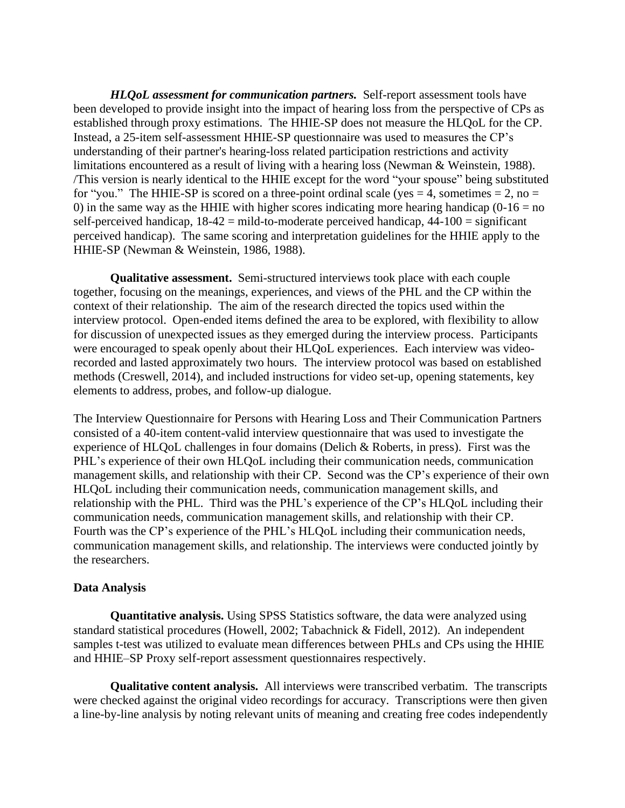*HLQoL assessment for communication partners.* Self-report assessment tools have been developed to provide insight into the impact of hearing loss from the perspective of CPs as established through proxy estimations. The HHIE-SP does not measure the HLQoL for the CP. Instead, a 25-item self-assessment HHIE-SP questionnaire was used to measures the CP's understanding of their partner's hearing-loss related participation restrictions and activity limitations encountered as a result of living with a hearing loss (Newman & Weinstein, 1988). /This version is nearly identical to the HHIE except for the word "your spouse" being substituted for "you." The HHIE-SP is scored on a three-point ordinal scale (yes  $= 4$ , sometimes  $= 2$ , no  $=$ 0) in the same way as the HHIE with higher scores indicating more hearing handicap  $(0-16 = no$ self-perceived handicap,  $18-42 =$  mild-to-moderate perceived handicap,  $44-100 =$  significant perceived handicap). The same scoring and interpretation guidelines for the HHIE apply to the HHIE-SP (Newman & Weinstein, 1986, 1988).

**Qualitative assessment.** Semi-structured interviews took place with each couple together, focusing on the meanings, experiences, and views of the PHL and the CP within the context of their relationship. The aim of the research directed the topics used within the interview protocol. Open-ended items defined the area to be explored, with flexibility to allow for discussion of unexpected issues as they emerged during the interview process. Participants were encouraged to speak openly about their HLQoL experiences. Each interview was videorecorded and lasted approximately two hours. The interview protocol was based on established methods (Creswell, 2014), and included instructions for video set-up, opening statements, key elements to address, probes, and follow-up dialogue.

The Interview Questionnaire for Persons with Hearing Loss and Their Communication Partners consisted of a 40-item content-valid interview questionnaire that was used to investigate the experience of HLQoL challenges in four domains (Delich & Roberts, in press). First was the PHL's experience of their own HLQoL including their communication needs, communication management skills, and relationship with their CP. Second was the CP's experience of their own HLQoL including their communication needs, communication management skills, and relationship with the PHL. Third was the PHL's experience of the CP's HLQoL including their communication needs, communication management skills, and relationship with their CP. Fourth was the CP's experience of the PHL's HLQoL including their communication needs, communication management skills, and relationship. The interviews were conducted jointly by the researchers.

#### **Data Analysis**

**Quantitative analysis.** Using SPSS Statistics software, the data were analyzed using standard statistical procedures (Howell, 2002; Tabachnick & Fidell, 2012). An independent samples t-test was utilized to evaluate mean differences between PHLs and CPs using the HHIE and HHIE–SP Proxy self-report assessment questionnaires respectively.

**Qualitative content analysis.** All interviews were transcribed verbatim. The transcripts were checked against the original video recordings for accuracy. Transcriptions were then given a line-by-line analysis by noting relevant units of meaning and creating free codes independently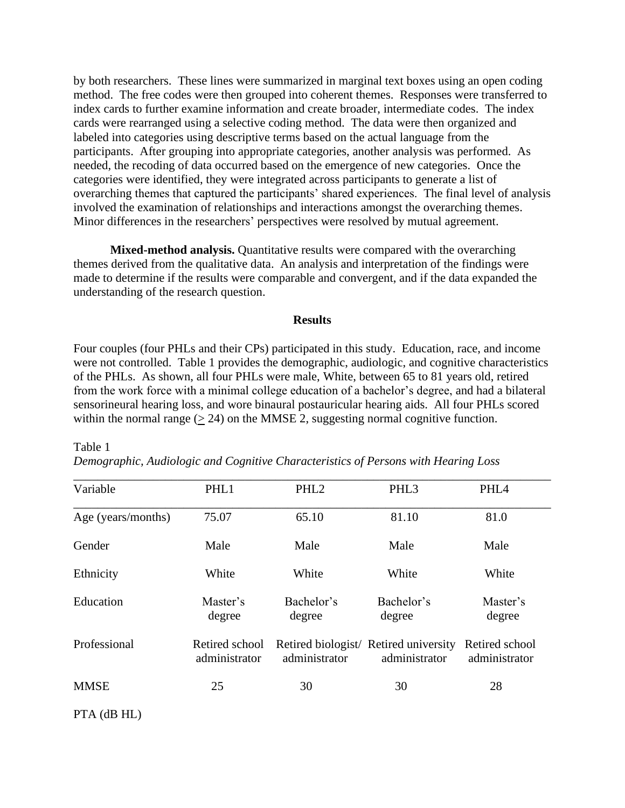by both researchers. These lines were summarized in marginal text boxes using an open coding method. The free codes were then grouped into coherent themes. Responses were transferred to index cards to further examine information and create broader, intermediate codes. The index cards were rearranged using a selective coding method. The data were then organized and labeled into categories using descriptive terms based on the actual language from the participants. After grouping into appropriate categories, another analysis was performed. As needed, the recoding of data occurred based on the emergence of new categories. Once the categories were identified, they were integrated across participants to generate a list of overarching themes that captured the participants' shared experiences. The final level of analysis involved the examination of relationships and interactions amongst the overarching themes. Minor differences in the researchers' perspectives were resolved by mutual agreement.

**Mixed-method analysis.** Quantitative results were compared with the overarching themes derived from the qualitative data. An analysis and interpretation of the findings were made to determine if the results were comparable and convergent, and if the data expanded the understanding of the research question.

#### **Results**

Four couples (four PHLs and their CPs) participated in this study. Education, race, and income were not controlled. Table 1 provides the demographic, audiologic, and cognitive characteristics of the PHLs. As shown, all four PHLs were male, White, between 65 to 81 years old, retired from the work force with a minimal college education of a bachelor's degree, and had a bilateral sensorineural hearing loss, and wore binaural postauricular hearing aids. All four PHLs scored within the normal range  $(2, 24)$  on the MMSE 2, suggesting normal cognitive function.

| Variable           | PHL1                            | PHL <sub>2</sub>     | PHL <sub>3</sub>                                       | PHL <sub>4</sub>                |  |  |
|--------------------|---------------------------------|----------------------|--------------------------------------------------------|---------------------------------|--|--|
| Age (years/months) | 75.07                           | 65.10                | 81.10                                                  | 81.0                            |  |  |
| Gender             | Male                            | Male                 | Male                                                   | Male                            |  |  |
| Ethnicity          | White                           | White                | White                                                  | White                           |  |  |
| Education          | Master's<br>degree              | Bachelor's<br>degree | Bachelor's<br>degree                                   | Master's<br>degree              |  |  |
| Professional       | Retired school<br>administrator | administrator        | Retired biologist/ Retired university<br>administrator | Retired school<br>administrator |  |  |
| <b>MMSE</b>        | 25                              | 30                   | 30                                                     | 28                              |  |  |

*Demographic, Audiologic and Cognitive Characteristics of Persons with Hearing Loss* 

PTA (dB HL)

Table 1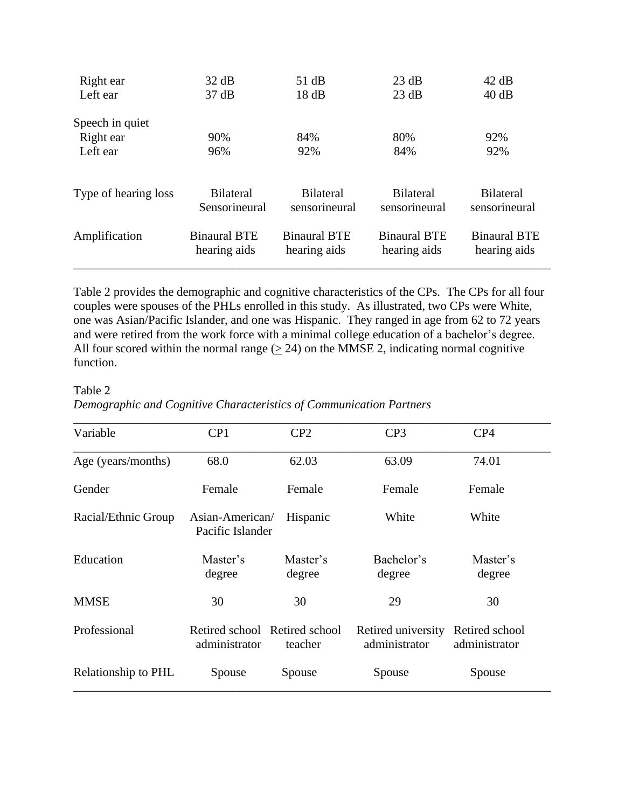| Right ear            | 32 dB                               | 51 dB                               | 23 dB                               | 42 dB                               |
|----------------------|-------------------------------------|-------------------------------------|-------------------------------------|-------------------------------------|
| Left ear             | 37 dB                               | 18dB                                | 23 dB                               | 40 dB                               |
| Speech in quiet      |                                     |                                     |                                     |                                     |
| Right ear            | 90%                                 | 84%                                 | 80%                                 | 92%                                 |
| Left ear             | 96%                                 | 92%                                 | 84%                                 | 92%                                 |
| Type of hearing loss | <b>Bilateral</b><br>Sensorineural   | <b>Bilateral</b><br>sensorineural   | <b>Bilateral</b><br>sensorineural   | <b>Bilateral</b><br>sensorineural   |
| Amplification        | <b>Binaural BTE</b><br>hearing aids | <b>Binaural BTE</b><br>hearing aids | <b>Binaural BTE</b><br>hearing aids | <b>Binaural BTE</b><br>hearing aids |

Table 2 provides the demographic and cognitive characteristics of the CPs. The CPs for all four couples were spouses of the PHLs enrolled in this study. As illustrated, two CPs were White, one was Asian/Pacific Islander, and one was Hispanic. They ranged in age from 62 to 72 years and were retired from the work force with a minimal college education of a bachelor's degree. All four scored within the normal range  $(2, 24)$  on the MMSE 2, indicating normal cognitive function.

Table 2

*Demographic and Cognitive Characteristics of Communication Partners*

| Variable            | CP <sub>1</sub>                                | CP <sub>2</sub>    | CP <sub>3</sub>                     | CP4                             |  |
|---------------------|------------------------------------------------|--------------------|-------------------------------------|---------------------------------|--|
| Age (years/months)  | 68.0                                           |                    | 63.09                               | 74.01                           |  |
| Gender              | Female                                         | Female             | Female                              |                                 |  |
| Racial/Ethnic Group | Asian-American/<br>Pacific Islander            | White<br>Hispanic  |                                     | White                           |  |
| Education           | Master's<br>degree                             | Master's<br>degree | Bachelor's<br>degree                | Master's<br>degree              |  |
| <b>MMSE</b>         | 30                                             | 30                 | 29                                  | 30                              |  |
| Professional        | Retired school Retired school<br>administrator | teacher            | Retired university<br>administrator | Retired school<br>administrator |  |
| Relationship to PHL | Spouse                                         | Spouse             | Spouse                              | Spouse                          |  |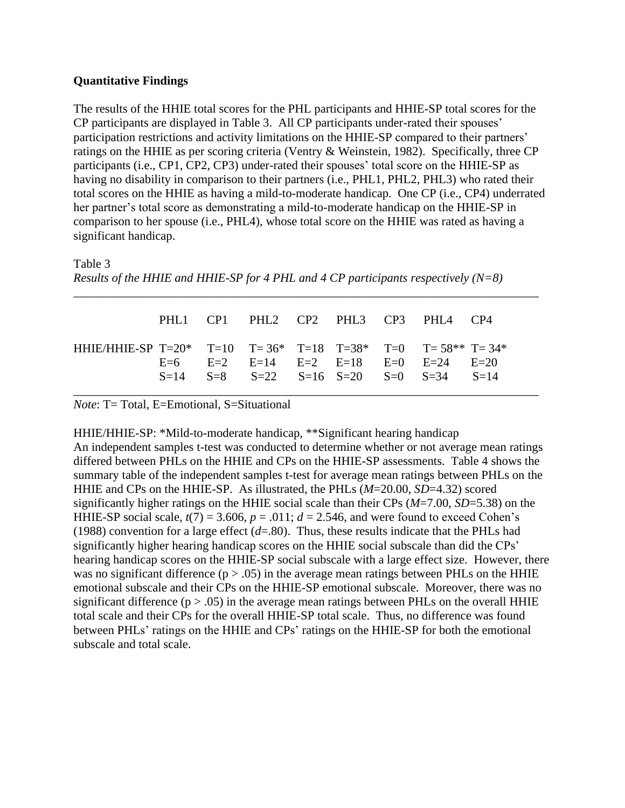# **Quantitative Findings**

The results of the HHIE total scores for the PHL participants and HHIE-SP total scores for the CP participants are displayed in Table 3. All CP participants under-rated their spouses' participation restrictions and activity limitations on the HHIE-SP compared to their partners' ratings on the HHIE as per scoring criteria (Ventry & Weinstein, 1982). Specifically, three CP participants (i.e., CP1, CP2, CP3) under-rated their spouses' total score on the HHIE-SP as having no disability in comparison to their partners (i.e., PHL1, PHL2, PHL3) who rated their total scores on the HHIE as having a mild-to-moderate handicap. One CP (i.e., CP4) underrated her partner's total score as demonstrating a mild-to-moderate handicap on the HHIE-SP in comparison to her spouse (i.e., PHL4), whose total score on the HHIE was rated as having a significant handicap.

Table 3

```
Results of the HHIE and HHIE-SP for 4 PHL and 4 CP participants respectively (N=8)
```

|                                                           |  |  |  | PHL1 CP1 PHL2 CP2 PHL3 CP3 PHL4 CP4                                                                          |  |
|-----------------------------------------------------------|--|--|--|--------------------------------------------------------------------------------------------------------------|--|
| HHIE/HHIE-SP T=20* T=10 T=36* T=18 T=38* T=0 T=58** T=34* |  |  |  | $E=6$ $E=2$ $E=14$ $E=2$ $E=18$ $E=0$ $E=24$ $E=20$<br>$S=14$ $S=8$ $S=22$ $S=16$ $S=20$ $S=0$ $S=34$ $S=14$ |  |

\_\_\_\_\_\_\_\_\_\_\_\_\_\_\_\_\_\_\_\_\_\_\_\_\_\_\_\_\_\_*\_\_\_\_\_\_\_\_\_\_\_\_\_\_\_\_\_\_\_\_\_\_\_\_\_\_\_\_\_\_\_\_\_\_\_\_\_\_\_\_\_\_\_\_\_\_*

*Note*: T= Total, E=Emotional, S=Situational

HHIE/HHIE-SP: \*Mild-to-moderate handicap, \*\*Significant hearing handicap An independent samples t-test was conducted to determine whether or not average mean ratings differed between PHLs on the HHIE and CPs on the HHIE-SP assessments. Table 4 shows the summary table of the independent samples t-test for average mean ratings between PHLs on the HHIE and CPs on the HHIE-SP. As illustrated, the PHLs (*M*=20.00, *SD*=4.32) scored significantly higher ratings on the HHIE social scale than their CPs (*M*=7.00, *SD*=5.38) on the HHIE-SP social scale,  $t(7) = 3.606$ ,  $p = .011$ ;  $d = 2.546$ , and were found to exceed Cohen's (1988) convention for a large effect  $(d=80)$ . Thus, these results indicate that the PHLs had significantly higher hearing handicap scores on the HHIE social subscale than did the CPs' hearing handicap scores on the HHIE-SP social subscale with a large effect size. However, there was no significant difference ( $p > .05$ ) in the average mean ratings between PHLs on the HHIE emotional subscale and their CPs on the HHIE-SP emotional subscale. Moreover, there was no significant difference  $(p > .05)$  in the average mean ratings between PHLs on the overall HHIE total scale and their CPs for the overall HHIE-SP total scale. Thus, no difference was found between PHLs' ratings on the HHIE and CPs' ratings on the HHIE-SP for both the emotional subscale and total scale.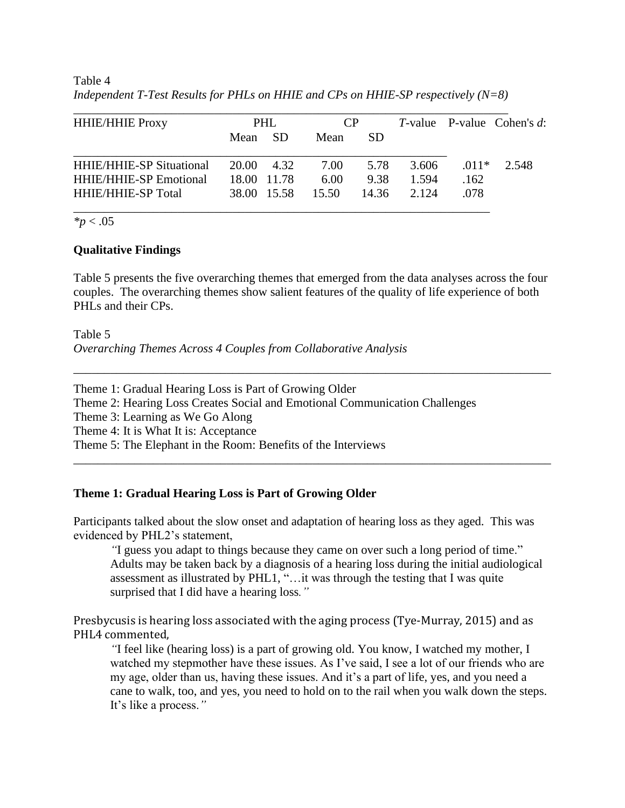Table 4 *Independent T-Test Results for PHLs on HHIE and CPs on HHIE-SP respectively (N=8)*

| <b>HHIE/HHIE Proxy</b>          | PHL.       |             | CP    |           |       |         | $T$ -value P-value Cohen's $d$ : |
|---------------------------------|------------|-------------|-------|-----------|-------|---------|----------------------------------|
|                                 | Mean SD    |             | Mean  | <b>SD</b> |       |         |                                  |
| <b>HHIE/HHIE-SP Situational</b> | 20.00 4.32 |             | 7.00  | 5.78      | 3.606 | $.011*$ | 2.548                            |
| <b>HHIE/HHIE-SP Emotional</b>   |            | 18.00 11.78 | 6.00  | 9.38      | 1.594 | .162    |                                  |
| <b>HHIE/HHIE-SP Total</b>       |            | 38.00 15.58 | 15.50 | 14.36     | 2.124 | .078    |                                  |

*\*p* < .05

# **Qualitative Findings**

Table 5 presents the five overarching themes that emerged from the data analyses across the four couples. The overarching themes show salient features of the quality of life experience of both PHLs and their CPs.

\_\_\_\_\_\_\_\_\_\_\_\_\_\_\_\_\_\_\_\_\_\_\_\_\_\_\_\_\_\_\_\_\_\_\_\_\_\_\_\_\_\_\_\_\_\_\_\_\_\_\_\_\_\_\_\_\_\_\_\_\_\_\_\_\_\_\_\_\_\_\_\_\_\_\_\_\_\_

Table 5 *Overarching Themes Across 4 Couples from Collaborative Analysis*

Theme 1: Gradual Hearing Loss is Part of Growing Older Theme 2: Hearing Loss Creates Social and Emotional Communication Challenges Theme 3: Learning as We Go Along Theme 4: It is What It is: Acceptance Theme 5: The Elephant in the Room: Benefits of the Interviews \_\_\_\_\_\_\_\_\_\_\_\_\_\_\_\_\_\_\_\_\_\_\_\_\_\_\_\_\_\_\_\_\_\_\_\_\_\_\_\_\_\_\_\_\_\_\_\_\_\_\_\_\_\_\_\_\_\_\_\_\_\_\_\_\_\_\_\_\_\_\_\_\_\_\_\_\_\_

## **Theme 1: Gradual Hearing Loss is Part of Growing Older**

Participants talked about the slow onset and adaptation of hearing loss as they aged. This was evidenced by PHL2's statement,

*"*I guess you adapt to things because they came on over such a long period of time." Adults may be taken back by a diagnosis of a hearing loss during the initial audiological assessment as illustrated by PHL1, "…it was through the testing that I was quite surprised that I did have a hearing loss*."* 

Presbycusis is hearing loss associated with the aging process (Tye-Murray, 2015) and as PHL4 commented,

*"*I feel like (hearing loss) is a part of growing old. You know, I watched my mother, I watched my stepmother have these issues. As I've said, I see a lot of our friends who are my age, older than us, having these issues. And it's a part of life, yes, and you need a cane to walk, too, and yes, you need to hold on to the rail when you walk down the steps. It's like a process.*"*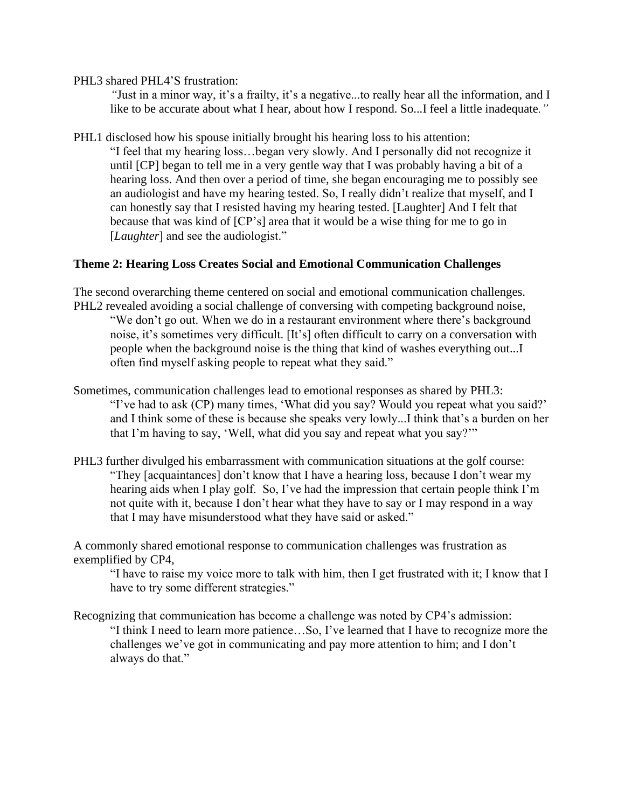PHL3 shared PHL4'S frustration:

*"*Just in a minor way, it's a frailty, it's a negative...to really hear all the information, and I like to be accurate about what I hear, about how I respond. So...I feel a little inadequate*."*

PHL1 disclosed how his spouse initially brought his hearing loss to his attention: "I feel that my hearing loss…began very slowly. And I personally did not recognize it until [CP] began to tell me in a very gentle way that I was probably having a bit of a hearing loss. And then over a period of time, she began encouraging me to possibly see an audiologist and have my hearing tested. So, I really didn't realize that myself, and I can honestly say that I resisted having my hearing tested. [Laughter] And I felt that because that was kind of [CP's] area that it would be a wise thing for me to go in [*Laughter*] and see the audiologist."

# **Theme 2: Hearing Loss Creates Social and Emotional Communication Challenges**

The second overarching theme centered on social and emotional communication challenges. PHL2 revealed avoiding a social challenge of conversing with competing background noise, "We don't go out. When we do in a restaurant environment where there's background noise, it's sometimes very difficult. [It's] often difficult to carry on a conversation with people when the background noise is the thing that kind of washes everything out...I often find myself asking people to repeat what they said."

- Sometimes, communication challenges lead to emotional responses as shared by PHL3: "I've had to ask (CP) many times, 'What did you say? Would you repeat what you said?' and I think some of these is because she speaks very lowly...I think that's a burden on her that I'm having to say, 'Well, what did you say and repeat what you say?'"
- PHL3 further divulged his embarrassment with communication situations at the golf course: "They [acquaintances] don't know that I have a hearing loss, because I don't wear my hearing aids when I play golf. So, I've had the impression that certain people think I'm not quite with it, because I don't hear what they have to say or I may respond in a way that I may have misunderstood what they have said or asked."

A commonly shared emotional response to communication challenges was frustration as exemplified by CP4,

"I have to raise my voice more to talk with him, then I get frustrated with it; I know that I have to try some different strategies."

Recognizing that communication has become a challenge was noted by CP4's admission: "I think I need to learn more patience…So, I've learned that I have to recognize more the challenges we've got in communicating and pay more attention to him; and I don't always do that."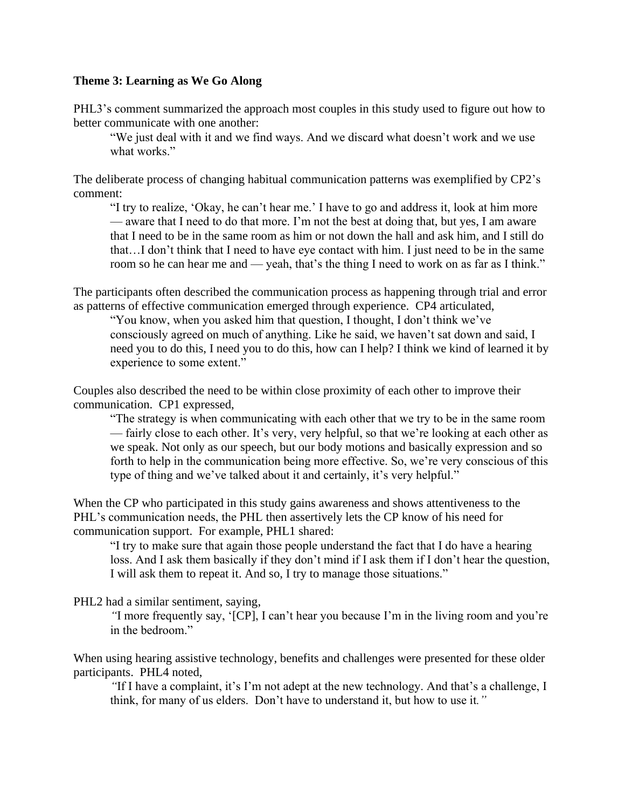## **Theme 3: Learning as We Go Along**

PHL3's comment summarized the approach most couples in this study used to figure out how to better communicate with one another:

"We just deal with it and we find ways. And we discard what doesn't work and we use what works."

The deliberate process of changing habitual communication patterns was exemplified by CP2's comment:

"I try to realize, 'Okay, he can't hear me.' I have to go and address it, look at him more — aware that I need to do that more. I'm not the best at doing that, but yes, I am aware that I need to be in the same room as him or not down the hall and ask him, and I still do that…I don't think that I need to have eye contact with him. I just need to be in the same room so he can hear me and — yeah, that's the thing I need to work on as far as I think."

The participants often described the communication process as happening through trial and error as patterns of effective communication emerged through experience. CP4 articulated,

"You know, when you asked him that question, I thought, I don't think we've consciously agreed on much of anything. Like he said, we haven't sat down and said, I need you to do this, I need you to do this, how can I help? I think we kind of learned it by experience to some extent."

Couples also described the need to be within close proximity of each other to improve their communication. CP1 expressed,

"The strategy is when communicating with each other that we try to be in the same room — fairly close to each other. It's very, very helpful, so that we're looking at each other as we speak. Not only as our speech, but our body motions and basically expression and so forth to help in the communication being more effective. So, we're very conscious of this type of thing and we've talked about it and certainly, it's very helpful."

When the CP who participated in this study gains awareness and shows attentiveness to the PHL's communication needs, the PHL then assertively lets the CP know of his need for communication support. For example, PHL1 shared:

"I try to make sure that again those people understand the fact that I do have a hearing loss. And I ask them basically if they don't mind if I ask them if I don't hear the question, I will ask them to repeat it. And so, I try to manage those situations."

PHL2 had a similar sentiment, saying,

*"*I more frequently say, '[CP], I can't hear you because I'm in the living room and you're in the bedroom."

When using hearing assistive technology, benefits and challenges were presented for these older participants. PHL4 noted,

*"*If I have a complaint, it's I'm not adept at the new technology. And that's a challenge, I think, for many of us elders. Don't have to understand it, but how to use it*."*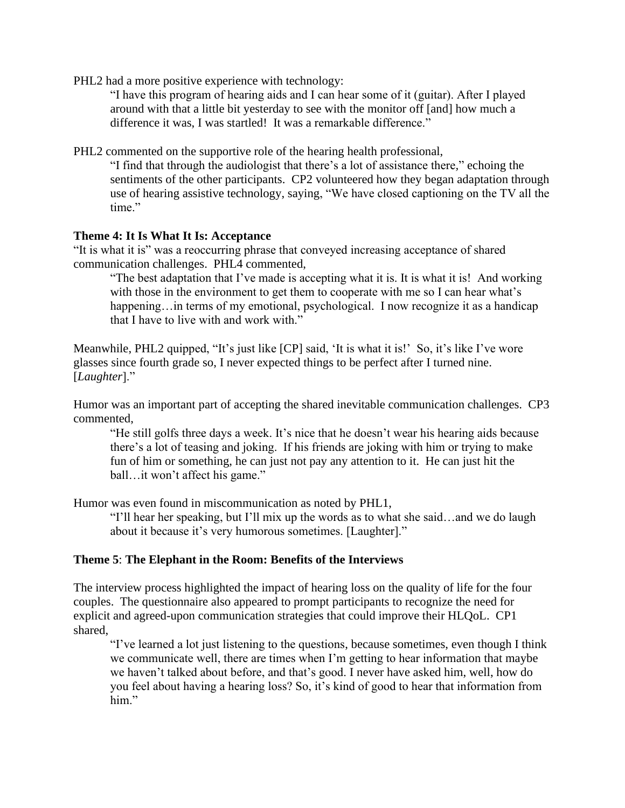PHL2 had a more positive experience with technology:

"I have this program of hearing aids and I can hear some of it (guitar). After I played around with that a little bit yesterday to see with the monitor off [and] how much a difference it was, I was startled! It was a remarkable difference."

PHL2 commented on the supportive role of the hearing health professional,

"I find that through the audiologist that there's a lot of assistance there*,*" echoing the sentiments of the other participants. CP2 volunteered how they began adaptation through use of hearing assistive technology, saying, "We have closed captioning on the TV all the time."

## **Theme 4: It Is What It Is: Acceptance**

"It is what it is" was a reoccurring phrase that conveyed increasing acceptance of shared communication challenges. PHL4 commented,

"The best adaptation that I've made is accepting what it is. It is what it is! And working with those in the environment to get them to cooperate with me so I can hear what's happening…in terms of my emotional, psychological. I now recognize it as a handicap that I have to live with and work with."

Meanwhile, PHL2 quipped, "It's just like [CP] said, 'It is what it is!' So, it's like I've wore glasses since fourth grade so, I never expected things to be perfect after I turned nine. [*Laughter*]."

Humor was an important part of accepting the shared inevitable communication challenges. CP3 commented,

"He still golfs three days a week. It's nice that he doesn't wear his hearing aids because there's a lot of teasing and joking. If his friends are joking with him or trying to make fun of him or something, he can just not pay any attention to it. He can just hit the ball...it won't affect his game."

Humor was even found in miscommunication as noted by PHL1,

"I'll hear her speaking, but I'll mix up the words as to what she said…and we do laugh about it because it's very humorous sometimes. [Laughter]."

# **Theme 5**: **The Elephant in the Room: Benefits of the Interviews**

The interview process highlighted the impact of hearing loss on the quality of life for the four couples. The questionnaire also appeared to prompt participants to recognize the need for explicit and agreed-upon communication strategies that could improve their HLQoL. CP1 shared,

"I've learned a lot just listening to the questions, because sometimes, even though I think we communicate well, there are times when I'm getting to hear information that maybe we haven't talked about before, and that's good. I never have asked him, well, how do you feel about having a hearing loss? So, it's kind of good to hear that information from him."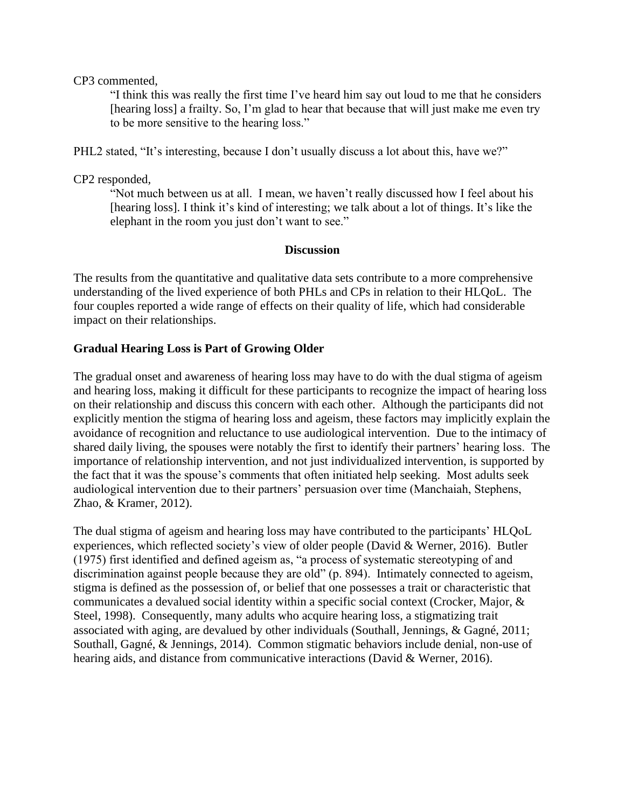CP3 commented,

"I think this was really the first time I've heard him say out loud to me that he considers [hearing loss] a frailty. So, I'm glad to hear that because that will just make me even try to be more sensitive to the hearing loss."

PHL2 stated, "It's interesting, because I don't usually discuss a lot about this, have we?"

CP2 responded*,* 

"Not much between us at all. I mean, we haven't really discussed how I feel about his [hearing loss]. I think it's kind of interesting; we talk about a lot of things. It's like the elephant in the room you just don't want to see."

# **Discussion**

The results from the quantitative and qualitative data sets contribute to a more comprehensive understanding of the lived experience of both PHLs and CPs in relation to their HLQoL. The four couples reported a wide range of effects on their quality of life, which had considerable impact on their relationships.

# **Gradual Hearing Loss is Part of Growing Older**

The gradual onset and awareness of hearing loss may have to do with the dual stigma of ageism and hearing loss, making it difficult for these participants to recognize the impact of hearing loss on their relationship and discuss this concern with each other. Although the participants did not explicitly mention the stigma of hearing loss and ageism, these factors may implicitly explain the avoidance of recognition and reluctance to use audiological intervention. Due to the intimacy of shared daily living, the spouses were notably the first to identify their partners' hearing loss. The importance of relationship intervention, and not just individualized intervention, is supported by the fact that it was the spouse's comments that often initiated help seeking. Most adults seek audiological intervention due to their partners' persuasion over time (Manchaiah, Stephens, Zhao, & Kramer, 2012).

The dual stigma of ageism and hearing loss may have contributed to the participants' HLQoL experiences, which reflected society's view of older people (David & Werner, 2016). Butler (1975) first identified and defined ageism as, "a process of systematic stereotyping of and discrimination against people because they are old" (p. 894). Intimately connected to ageism, stigma is defined as the possession of, or belief that one possesses a trait or characteristic that communicates a devalued social identity within a specific social context (Crocker, Major, & Steel, 1998). Consequently, many adults who acquire hearing loss, a stigmatizing trait associated with aging, are devalued by other individuals (Southall, Jennings, & Gagné, 2011; Southall, Gagné, & Jennings, 2014). Common stigmatic behaviors include denial, non-use of hearing aids, and distance from communicative interactions (David & Werner, 2016).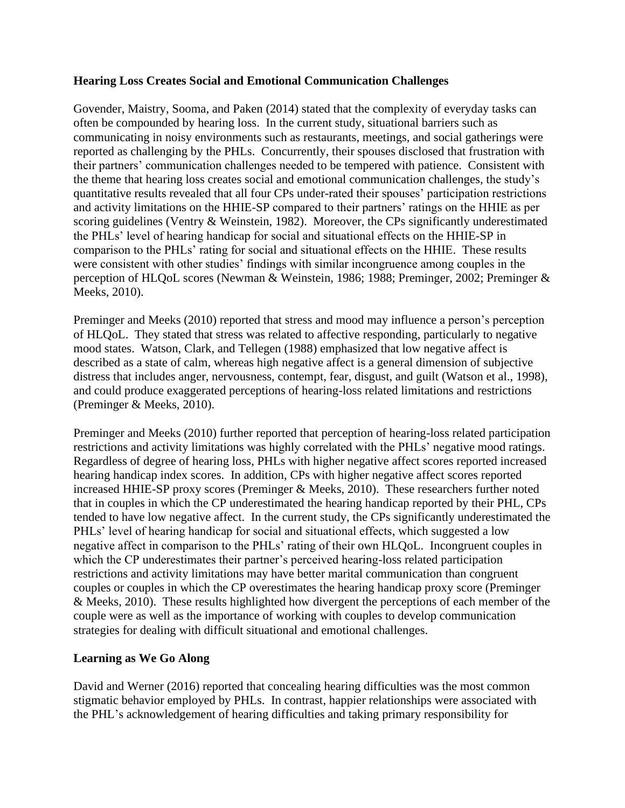# **Hearing Loss Creates Social and Emotional Communication Challenges**

Govender, Maistry, Sooma, and Paken (2014) stated that the complexity of everyday tasks can often be compounded by hearing loss. In the current study, situational barriers such as communicating in noisy environments such as restaurants, meetings, and social gatherings were reported as challenging by the PHLs. Concurrently, their spouses disclosed that frustration with their partners' communication challenges needed to be tempered with patience. Consistent with the theme that hearing loss creates social and emotional communication challenges, the study's quantitative results revealed that all four CPs under-rated their spouses' participation restrictions and activity limitations on the HHIE-SP compared to their partners' ratings on the HHIE as per scoring guidelines (Ventry & Weinstein, 1982). Moreover, the CPs significantly underestimated the PHLs' level of hearing handicap for social and situational effects on the HHIE-SP in comparison to the PHLs' rating for social and situational effects on the HHIE. These results were consistent with other studies' findings with similar incongruence among couples in the perception of HLQoL scores (Newman & Weinstein, 1986; 1988; Preminger, 2002; Preminger & Meeks, 2010).

Preminger and Meeks (2010) reported that stress and mood may influence a person's perception of HLQoL. They stated that stress was related to affective responding, particularly to negative mood states. Watson, Clark, and Tellegen (1988) emphasized that low negative affect is described as a state of calm, whereas high negative affect is a general dimension of subjective distress that includes anger, nervousness, contempt, fear, disgust, and guilt (Watson et al., 1998), and could produce exaggerated perceptions of hearing-loss related limitations and restrictions (Preminger & Meeks, 2010).

Preminger and Meeks (2010) further reported that perception of hearing-loss related participation restrictions and activity limitations was highly correlated with the PHLs' negative mood ratings. Regardless of degree of hearing loss, PHLs with higher negative affect scores reported increased hearing handicap index scores. In addition, CPs with higher negative affect scores reported increased HHIE-SP proxy scores (Preminger & Meeks, 2010). These researchers further noted that in couples in which the CP underestimated the hearing handicap reported by their PHL, CPs tended to have low negative affect. In the current study, the CPs significantly underestimated the PHLs' level of hearing handicap for social and situational effects, which suggested a low negative affect in comparison to the PHLs' rating of their own HLQoL. Incongruent couples in which the CP underestimates their partner's perceived hearing-loss related participation restrictions and activity limitations may have better marital communication than congruent couples or couples in which the CP overestimates the hearing handicap proxy score (Preminger & Meeks, 2010). These results highlighted how divergent the perceptions of each member of the couple were as well as the importance of working with couples to develop communication strategies for dealing with difficult situational and emotional challenges.

# **Learning as We Go Along**

David and Werner (2016) reported that concealing hearing difficulties was the most common stigmatic behavior employed by PHLs. In contrast, happier relationships were associated with the PHL's acknowledgement of hearing difficulties and taking primary responsibility for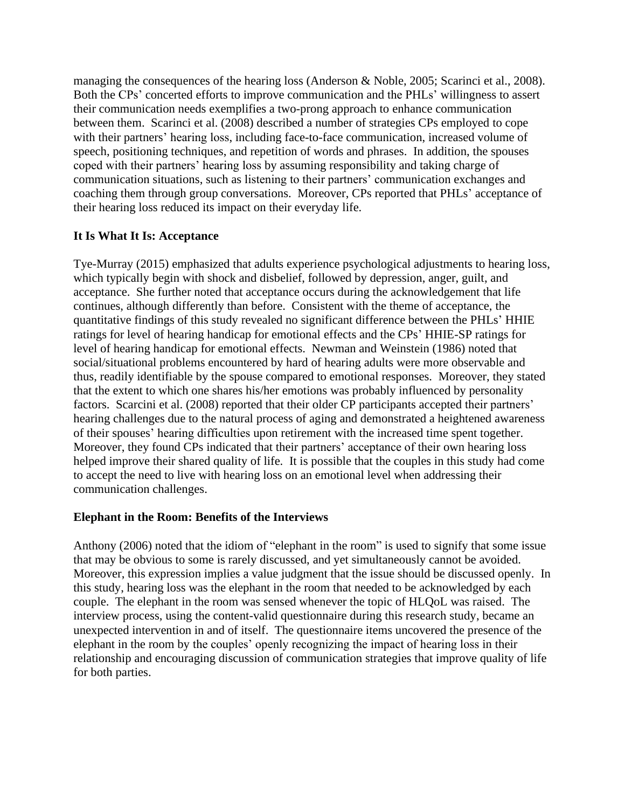managing the consequences of the hearing loss (Anderson & Noble, 2005; Scarinci et al., 2008). Both the CPs' concerted efforts to improve communication and the PHLs' willingness to assert their communication needs exemplifies a two-prong approach to enhance communication between them. Scarinci et al. (2008) described a number of strategies CPs employed to cope with their partners' hearing loss, including face-to-face communication, increased volume of speech, positioning techniques, and repetition of words and phrases. In addition, the spouses coped with their partners' hearing loss by assuming responsibility and taking charge of communication situations, such as listening to their partners' communication exchanges and coaching them through group conversations. Moreover, CPs reported that PHLs' acceptance of their hearing loss reduced its impact on their everyday life.

# **It Is What It Is: Acceptance**

Tye-Murray (2015) emphasized that adults experience psychological adjustments to hearing loss, which typically begin with shock and disbelief, followed by depression, anger, guilt, and acceptance. She further noted that acceptance occurs during the acknowledgement that life continues, although differently than before. Consistent with the theme of acceptance, the quantitative findings of this study revealed no significant difference between the PHLs' HHIE ratings for level of hearing handicap for emotional effects and the CPs' HHIE-SP ratings for level of hearing handicap for emotional effects. Newman and Weinstein (1986) noted that social/situational problems encountered by hard of hearing adults were more observable and thus, readily identifiable by the spouse compared to emotional responses. Moreover, they stated that the extent to which one shares his/her emotions was probably influenced by personality factors. Scarcini et al. (2008) reported that their older CP participants accepted their partners' hearing challenges due to the natural process of aging and demonstrated a heightened awareness of their spouses' hearing difficulties upon retirement with the increased time spent together. Moreover, they found CPs indicated that their partners' acceptance of their own hearing loss helped improve their shared quality of life. It is possible that the couples in this study had come to accept the need to live with hearing loss on an emotional level when addressing their communication challenges.

# **Elephant in the Room: Benefits of the Interviews**

Anthony (2006) noted that the idiom of "elephant in the room" is used to signify that some issue that may be obvious to some is rarely discussed, and yet simultaneously cannot be avoided. Moreover, this expression implies a value judgment that the issue should be discussed openly. In this study, hearing loss was the elephant in the room that needed to be acknowledged by each couple. The elephant in the room was sensed whenever the topic of HLQoL was raised. The interview process, using the content-valid questionnaire during this research study, became an unexpected intervention in and of itself. The questionnaire items uncovered the presence of the elephant in the room by the couples' openly recognizing the impact of hearing loss in their relationship and encouraging discussion of communication strategies that improve quality of life for both parties.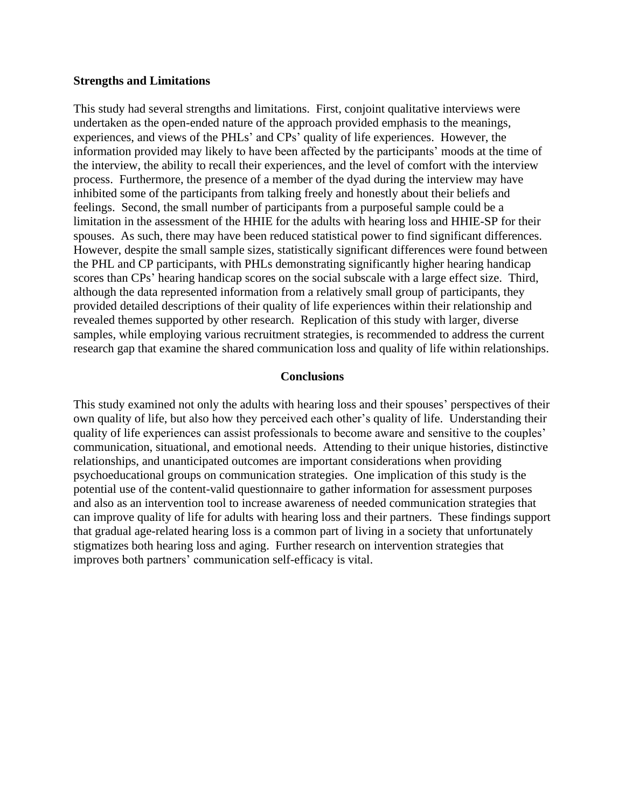#### **Strengths and Limitations**

This study had several strengths and limitations. First, conjoint qualitative interviews were undertaken as the open-ended nature of the approach provided emphasis to the meanings, experiences, and views of the PHLs' and CPs' quality of life experiences. However, the information provided may likely to have been affected by the participants' moods at the time of the interview, the ability to recall their experiences, and the level of comfort with the interview process. Furthermore, the presence of a member of the dyad during the interview may have inhibited some of the participants from talking freely and honestly about their beliefs and feelings. Second, the small number of participants from a purposeful sample could be a limitation in the assessment of the HHIE for the adults with hearing loss and HHIE-SP for their spouses. As such, there may have been reduced statistical power to find significant differences. However, despite the small sample sizes, statistically significant differences were found between the PHL and CP participants, with PHLs demonstrating significantly higher hearing handicap scores than CPs' hearing handicap scores on the social subscale with a large effect size. Third, although the data represented information from a relatively small group of participants, they provided detailed descriptions of their quality of life experiences within their relationship and revealed themes supported by other research. Replication of this study with larger, diverse samples, while employing various recruitment strategies, is recommended to address the current research gap that examine the shared communication loss and quality of life within relationships.

#### **Conclusions**

This study examined not only the adults with hearing loss and their spouses' perspectives of their own quality of life, but also how they perceived each other's quality of life. Understanding their quality of life experiences can assist professionals to become aware and sensitive to the couples' communication, situational, and emotional needs. Attending to their unique histories, distinctive relationships, and unanticipated outcomes are important considerations when providing psychoeducational groups on communication strategies. One implication of this study is the potential use of the content-valid questionnaire to gather information for assessment purposes and also as an intervention tool to increase awareness of needed communication strategies that can improve quality of life for adults with hearing loss and their partners. These findings support that gradual age-related hearing loss is a common part of living in a society that unfortunately stigmatizes both hearing loss and aging. Further research on intervention strategies that improves both partners' communication self-efficacy is vital.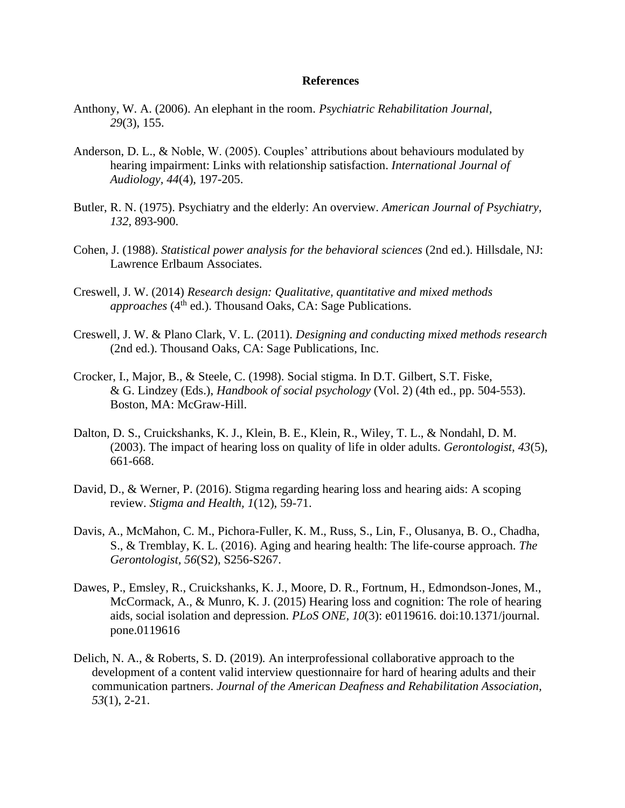#### **References**

- Anthony, W. A. (2006). An elephant in the room. *Psychiatric Rehabilitation Journal, 29*(3), 155.
- Anderson, D. L., & Noble, W. (2005). Couples' attributions about behaviours modulated by hearing impairment: Links with relationship satisfaction. *International Journal of Audiology, 44*(4), 197-205.
- Butler, R. N. (1975). Psychiatry and the elderly: An overview. *American Journal of Psychiatry, 132,* 893-900.
- Cohen, J. (1988). *Statistical power analysis for the behavioral sciences* (2nd ed.). Hillsdale, NJ: Lawrence Erlbaum Associates.
- Creswell, J. W. (2014) *Research design: Qualitative, quantitative and mixed methods*  approaches (4<sup>th</sup> ed.). Thousand Oaks, CA: Sage Publications.
- Creswell, J. W. & Plano Clark, V. L. (2011). *Designing and conducting mixed methods research* (2nd ed.). Thousand Oaks, CA: Sage Publications, Inc.
- Crocker, I., Major, B., & Steele, C. (1998). Social stigma. In D.T. Gilbert, S.T. Fiske, & G. Lindzey (Eds.), *Handbook of social psychology* (Vol. 2) (4th ed., pp. 504-553). Boston, MA: McGraw-Hill.
- Dalton, D. S., Cruickshanks, K. J., Klein, B. E., Klein, R., Wiley, T. L., & Nondahl, D. M. (2003). The impact of hearing loss on quality of life in older adults. *Gerontologist, 43*(5), 661-668.
- David, D., & Werner, P. (2016). Stigma regarding hearing loss and hearing aids: A scoping review. *Stigma and Health, 1*(12), 59-71.
- Davis, A., McMahon, C. M., Pichora-Fuller, K. M., Russ, S., Lin, F., Olusanya, B. O., Chadha, S., & Tremblay, K. L. (2016). Aging and hearing health: The life-course approach. *The Gerontologist, 56*(S2), S256-S267.
- Dawes, P., Emsley, R., Cruickshanks, K. J., Moore, D. R., Fortnum, H., Edmondson-Jones, M., McCormack, A., & Munro, K. J. (2015) Hearing loss and cognition: The role of hearing aids, social isolation and depression. *PLoS ONE, 10*(3): e0119616. doi:10.1371/journal. pone.0119616
- Delich, N. A., & Roberts, S. D. (2019)*.* An interprofessional collaborative approach to the development of a content valid interview questionnaire for hard of hearing adults and their communication partners. *Journal of the American Deafness and Rehabilitation Association, 53*(1), 2-21.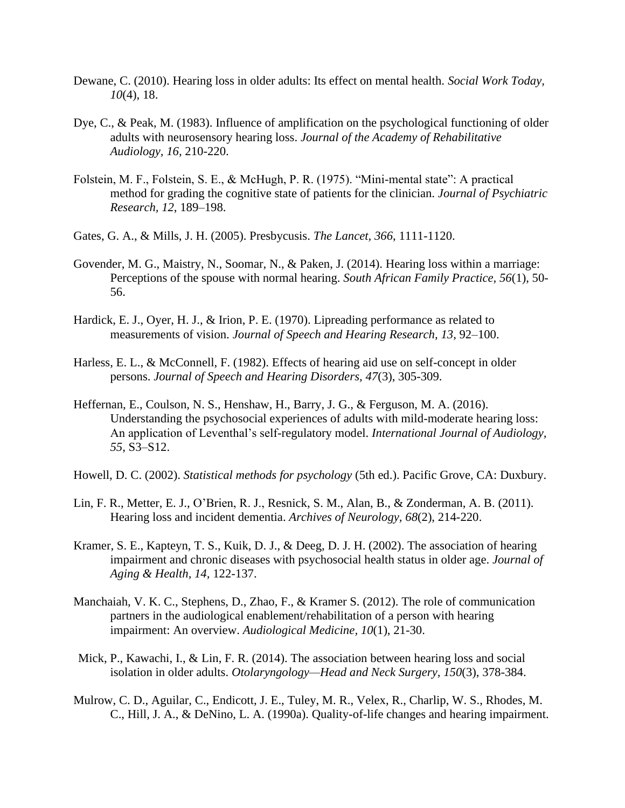- Dewane, C. (2010). Hearing loss in older adults: Its effect on mental health. *Social Work Today, 10*(4), 18.
- Dye, C., & Peak, M. (1983). Influence of amplification on the psychological functioning of older adults with neurosensory hearing loss. *Journal of the Academy of Rehabilitative Audiology, 16,* 210-220.
- Folstein, M. F., Folstein, S. E., & McHugh, P. R. (1975). "Mini-mental state": A practical method for grading the cognitive state of patients for the clinician. *Journal of Psychiatric Research, 12*, 189–198.
- Gates, G. A., & Mills, J. H. (2005). Presbycusis. *The Lancet, 366*, 1111-1120.
- Govender, M. G., Maistry, N., Soomar, N., & Paken, J. (2014). Hearing loss within a marriage: Perceptions of the spouse with normal hearing. *South African Family Practice, 56*(1), 50- 56.
- Hardick, E. J., Oyer, H. J., & Irion, P. E. (1970). Lipreading performance as related to measurements of vision. *Journal of Speech and Hearing Research, 13*, 92–100.
- Harless, E. L., & McConnell, F. (1982). Effects of hearing aid use on self-concept in older persons. *Journal of Speech and Hearing Disorders, 47*(3), 305-309.
- Heffernan, E., Coulson, N. S., Henshaw, H., Barry, J. G., & Ferguson, M. A. (2016). Understanding the psychosocial experiences of adults with mild-moderate hearing loss: An application of Leventhal's self-regulatory model. *International Journal of Audiology, 55*, S3–S12.
- Howell, D. C. (2002). *Statistical methods for psychology* (5th ed.). Pacific Grove, CA: Duxbury.
- Lin, F. R., Metter, E. J., O'Brien, R. J., Resnick, S. M., Alan, B., & Zonderman, A. B. (2011). Hearing loss and incident dementia. *Archives of Neurology, 68*(2), 214-220.
- Kramer, S. E., Kapteyn, T. S., Kuik, D. J., & Deeg, D. J. H. (2002). The association of hearing impairment and chronic diseases with psychosocial health status in older age. *Journal of Aging & Health, 14,* 122-137.
- Manchaiah, V. K. C., Stephens, D., Zhao, F., & Kramer S. (2012). The role of communication partners in the audiological enablement/rehabilitation of a person with hearing impairment: An overview. *Audiological Medicine, 10*(1), 21-30.
- Mick, P., Kawachi, I., & Lin, F. R. (2014). The association between hearing loss and social isolation in older adults. *Otolaryngology—Head and Neck Surgery, 150*(3), 378-384.
- Mulrow, C. D., Aguilar, C., Endicott, J. E., Tuley, M. R., Velex, R., Charlip, W. S., Rhodes, M. C., Hill, J. A., & DeNino, L. A. (1990a). Quality-of-life changes and hearing impairment.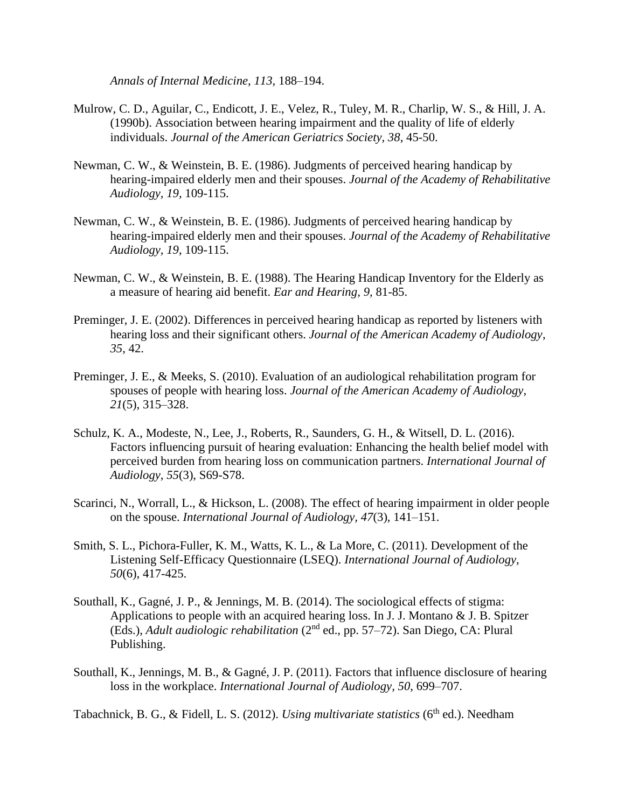*Annals of Internal Medicine, 113,* 188–194.

- Mulrow, C. D., Aguilar, C., Endicott, J. E., Velez, R., Tuley, M. R., Charlip, W. S., & Hill, J. A. (1990b). Association between hearing impairment and the quality of life of elderly individuals. *Journal of the American Geriatrics Society, 38*, 45-50.
- Newman, C. W., & Weinstein, B. E. (1986). Judgments of perceived hearing handicap by hearing-impaired elderly men and their spouses. *Journal of the Academy of Rehabilitative Audiology, 19,* 109-115.
- Newman, C. W., & Weinstein, B. E. (1986). Judgments of perceived hearing handicap by hearing-impaired elderly men and their spouses. *Journal of the Academy of Rehabilitative Audiology, 19*, 109-115.
- Newman, C. W., & Weinstein, B. E. (1988). The Hearing Handicap Inventory for the Elderly as a measure of hearing aid benefit. *Ear and Hearing, 9,* 81-85.
- Preminger, J. E. (2002). Differences in perceived hearing handicap as reported by listeners with hearing loss and their significant others. *Journal of the American Academy of Audiology*, *35*, 42.
- Preminger, J. E., & Meeks, S. (2010). Evaluation of an audiological rehabilitation program for spouses of people with hearing loss. *Journal of the American Academy of Audiology*, *21*(5), 315–328.
- Schulz, K. A., Modeste, N., Lee, J., Roberts, R., Saunders, G. H., & Witsell, D. L. (2016). Factors influencing pursuit of hearing evaluation: Enhancing the health belief model with perceived burden from hearing loss on communication partners. *International Journal of Audiology, 55*(3), S69-S78.
- Scarinci, N., Worrall, L., & Hickson, L. (2008). The effect of hearing impairment in older people on the spouse. *International Journal of Audiology, 47*(3), 141–151.
- Smith, S. L., Pichora-Fuller, K. M., Watts, K. L., & La More, C. (2011). Development of the Listening Self-Efficacy Questionnaire (LSEQ). *International Journal of Audiology, 50*(6), 417-425.
- Southall, K., Gagné, J. P., & Jennings, M. B. (2014). The sociological effects of stigma: Applications to people with an acquired hearing loss. In J. J. Montano & J. B. Spitzer (Eds.), *Adult audiologic rehabilitation* (2nd ed., pp. 57–72). San Diego, CA: Plural Publishing.
- Southall, K., Jennings, M. B., & Gagné, J. P. (2011). Factors that influence disclosure of hearing loss in the workplace. *International Journal of Audiology, 50*, 699–707.

Tabachnick, B. G., & Fidell, L. S. (2012). *Using multivariate statistics* (6<sup>th</sup> ed.). Needham